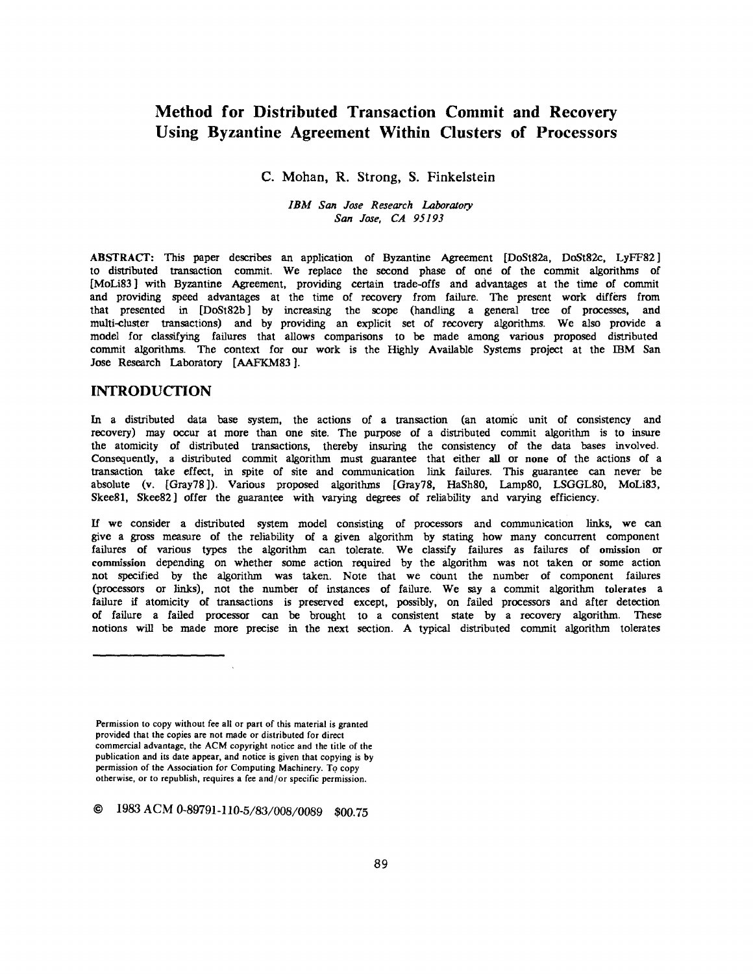# **Method for Distributed Transaction Commit and Recovery Using Byzantine Agreement Within Clusters of Processors**

C. Mohan, R. Strong, S. Finkelstein

*1BM San Jose Research Laboratory San Jose, CA 95193* 

ABSTRACT: This paper describes an application of Byzantine Agreement [DoSt82a, DoSt82c, LyFF82] to distributed transaction commit. We replace the second phase of one of the commit algorithms of [MoLi83 ] with Byzantine Agreement, providing certain trade-offs and advantages at the time of commit and providing speed advantages at the time of recovery from failure. The present work differs from that presented in [DoSt82b] by increasing the scope (handing a general tree of processes, and multi-cluster transactions) and by providing an explicit set of recovery algorithms. We also provide a model for classifying failures that allows comparisons to be made among various proposed distributed commit algorithms. The context for our work is the Highly Available Systems project at the IBM San Jose Research Laboratory [AAFKM83].

#### **INTRODUCTION**

In a distributed data base system, the actions of a transaction (an atomic unit of consistency and recovery) may occur at more than one site. The purpose of a distributed commit algorithm is to insure the atomicity of distributed transactions, thereby insuring the consistency of the data bases involved. Consequently, a distributed commit algorithm must guarantee that either all or none of the actions of a transaction take effect, in spite of site and communication link failures. This guarantee can never be absolute (v. [Gray78 ]). Various proposed algorithms [Gray78, HaSh80, Lamp80, LSGGL80, MoLi83, Skee81, Skee82) offer the guarantee with varying degrees of reliability and varying efficiency.

If we consider a distributed system model consisting of processors and communication links, we can give a gross measure of the reliability of a given algorithm by stating how many concurrent component failures of various types the algorithm can tolerate. We classify failures as failures of omission or commission depending on whether some action required by the algorithm was not taken or some action not specified by the algorithm was taken. Note that we count the number of component failures (processors or links), not the number of instances of failure. We say a commit algorithm tolerates a failure if atomicity of transactions is preserved except, possibly, on failed processors and after detection of failure a failed processor can be brought to a consistent state by a recovery algorithm. These notions will be made more precise in the next section. A typical distributed commit algorithm tolerates

© 1983 ACM 0-89791-110-5/83/008/0089 \$00.75

Permission to copy without fee **all** or part of this material is granted provided that the copies are not made or distributed for direct commercial advantage, the ACM copyright notice and the title of the publication and its date appear, and notice is given that copying is by permission of the Association for Computing Machinery. To copy otherwise, or to republish, requires a fee and/or specific permission.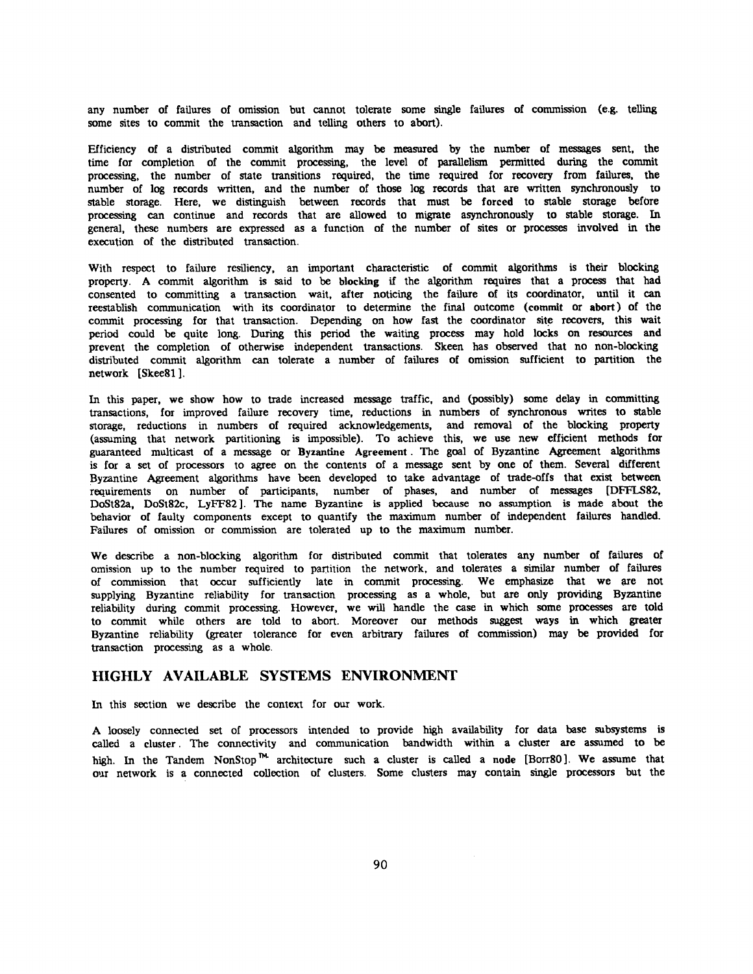any number of failures of omission but cannot tolerate some single failures of commission (e.g. telling some sites to commit the transaction and telling others to abort).

Efficiency of a distributed commit algorithm may be measured by the number of messages sent, the time for completion of the commit processing, the level of parallelism permitted during the commit processing, the number of state transitions required, the time required for recovery from failures, the number of log records written, and the number of those log records that axe written synchronously to stable storage. Here, we distinguish between records that must be forced to stable storage before processing can continue and records that axe allowed to migrate asynchronously to stable storage. In general, these numbers are expressed as a function of the number of sites or processes involved in the execution of the distributed transaction.

With respect to failure resiliency, an important characteristic of commit algorithms is their blocking property. A commit algorithm is said to be blocking if the algorithm requires that a process that had consented to committing a transaction wait, after noticing the failure of its coordinator, until it can reestablish communication with its coordinator to determine the final outcome (commit or abort) of the commit processing for that transaction. Depending on how fast the coordinator site recovers, this wait period could be quite long. During this period the waiting process may hold locks on resources and prevent the completion of otherwise independent transactions. Skeen has observed that no non-blocking distributed commit algorithm can tolerate a number of failures of omission sufficient to partition the network [SkeeS1 ].

In this paper, we show how to trade increased message traffic, and (possibly) some delay in committing transactions, for improved failure recovery time, reductions in numbers of synchronous writes to stable storage, reductions in numbers of required acknowledgements, and removal of the blocking property (assuming that network partitioning is impossible). To achieve this, we use new efficient methods for guaranteed multicast of a message or Byzantine Agreement. The goal of Byzantine Agreement algorithms is for a set of processors to agree on the contents of a message sent by one of them. Several different Byzantine Agreement algorithms have been developed to take advantage of trade-offs that exist between requirements on number of participants, number of phases, and number of messages [DFFLS82, DoSt82a, DoSt82c, LyFF82]. The name Byzantine is applied because no assumption is made about the behavior of faulty components except to quantify the maximum number of independent failures handled. Failures of omission or commission are tolerated up to the maximum number.

We describe a non-blocking algorithm for distributed commit that tolerates any number of failures of omission up to the number required to partition the network, and tolerates a similar number of failures of commission that occur sufficiently late in commit processing. We emphasize that we are not supplying Byzantine reliability for transaction processing as a whole, but axe only providing Byzantine reliability during commit processing. However, we will handle the case in which some processes axe told to commit while others are told to abort. Moreover our methods suggest ways in which greater Byzantine reliability (greater tolerance for even arbitrary failures of commission) may be provided for transaction processing as a whole.

### HIGHLY AVAILABLE SYSTEMS ENVIRONMENT

In this section we describe the context for our work.

A loosely connected set of processors intended to provide high availability for dala base subsystems is called a cluster. The connectivity and communication bandwidth within a cluster are assumed to be high. In the Tandem NonStop<sup>M</sup> architecture such a cluster is called a node [Borr80]. We assume that our network is a connected collection of clusters. Some clusters may contain single processors but the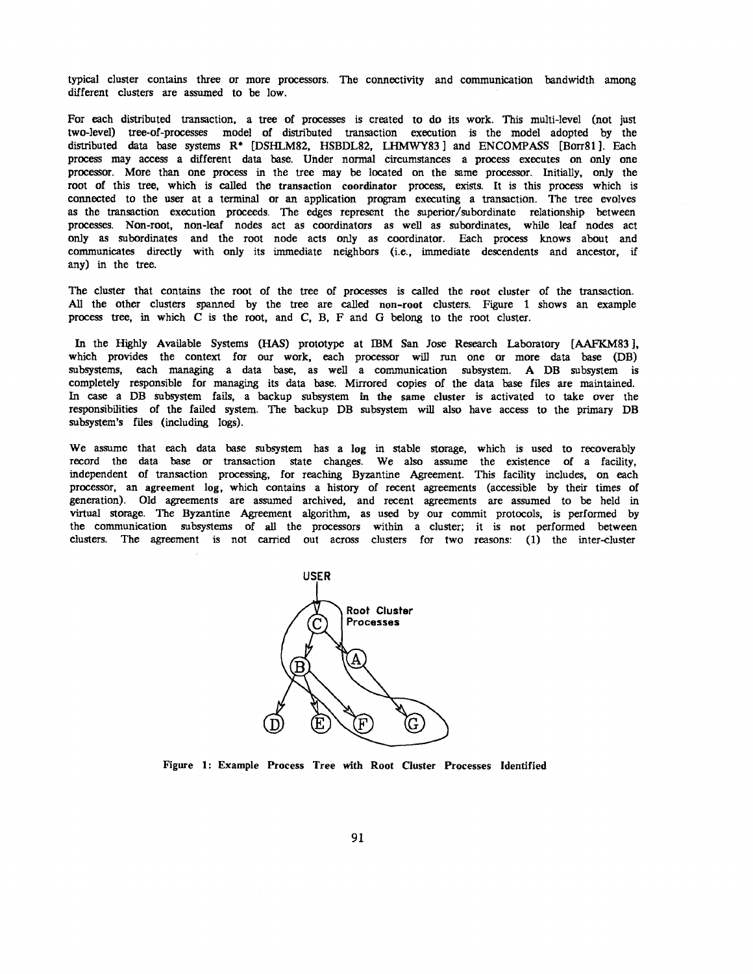typical cluster contains three or more processors. The connectivity and communication bandwidth among different clusters are assumed to be low.

For each distributed transaction, a tree of processes is created to do its work. This multi-level (not just two-level) tree-of-processes model of distributed transaction execution is the model adopted by the distributed data base systems R\* [DSHLM82, HSBDL82, LHMWY83] and ENCOMPASS [Borr81]. Each process may access a different data base. Under normal circumstances a process executes on only one processor. More than one process in the tree may be located on the same processor. Initially, only the root of this tree, which is called the transaction coordinator process, exists. It is this process which is connected to the user at a terminal or an application program executing a transaction. The tree evolves as the transaction execution proceeds. The edges represent the superior/subordinate relationship between processes. Non-root, non-leaf nodes act as coordinators as well as subordinates, while leaf nodes act only as subordinates and the root node acts only as coordinator. Each process knows about and communicates directly with only its immediate neighbors (i.e., immediate descendents and ancestor, if any) in the tree.

The cluster that contains the root of the tree of processes is called the root cluster of the transaction. All the other clusters spanned by the tree are called non-root clusters. Figure 1 shows an example process tree, in which C is the root, and C, B, F and G belong to the root cluster.

In the Highly Available Systems (HAS) prototype at IBM San Jose Research Laboratory [AAFKM83 ], which provides the context for our work, each processor will run one or more data base (DB) subsystems, each managing a data base, as well a communication subsystem. A DB subsystem is completely responsible for managing its data base. Mirrored copies of the data base files are maintained. In case a DB subsystem fails, a backup subsystem in the same cluster is activated to take over the responsibilities of the failed system. The backup DB subsystem will also have access to the primary DB subsystem's files (including logs).

We assume that each data base subsystem has a log in stable storage, which is used to recoverably record the data base or transaction state changes. We also assume the existence of a facility, independent of transaction processing, for reaching Byzantine Agreement. This facility includes, on each processor, an agreement log, which contains a history of recent agreements (accessible by their times of generation). Old agreements are assumed archived, and recent agreements are assumed to be held in virtual storage. The Byzantine Agreement algorithm, as used by our commit protocols, is performed by the communication subsystems of all the processors within a cluster; it is not performed between clusters. The agreement is not carried out across clusters for two reasons: (1) the inter-cluster



**Figure 1: Example Process Tree with Root Cluster Processes Identified**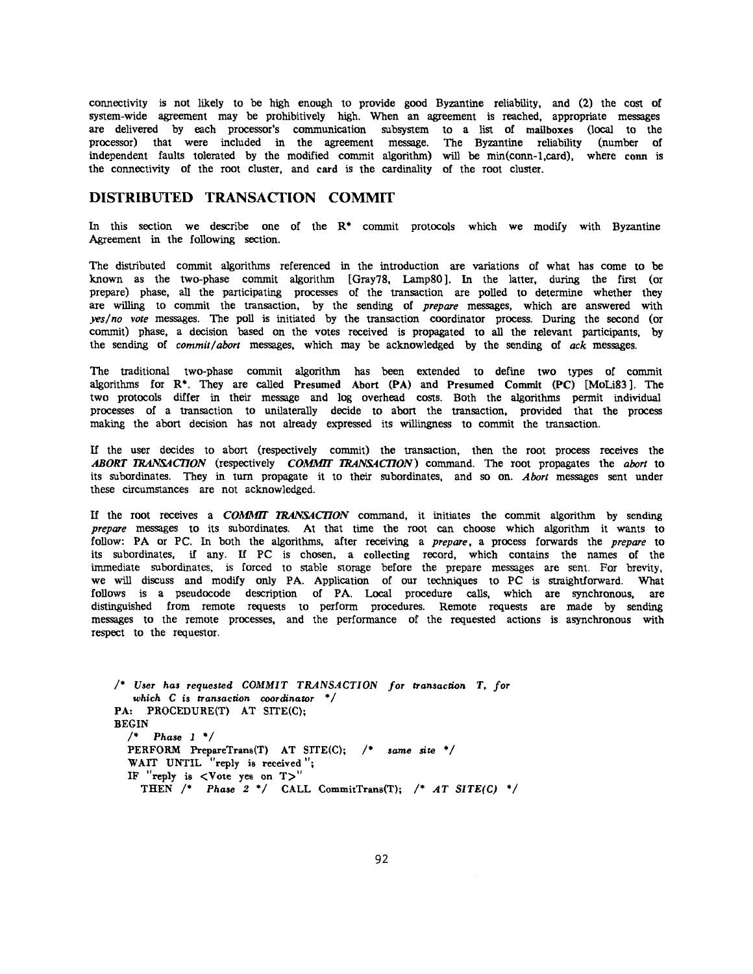connectivity is not likely to be high enough to provide good Byzantine reliability, and (2) the cost of system-wide agreement may be prohibitively high. When an agreement is reached, appropriate messages are delivered by each processor's communication subsystem to a list of mailboxes (local to the processor) that were included in the agreement message. The Byzantine reliability (number of independent faults tolerated by the modified commit algorithm) will be min(conn-l,card), where corm is the connectivity of the root cluster, and card is the eardinality of the root cluster.

# **DISTRIBUTED TRANSACTION COMMIT**

In this section we describe one of the R\* commit protocols which we modify with Byzantine Agreement in the following section.

The distributed commit algorithms referenced in the introduction are variations of what has come to be known as the two-phase commit algorithm [Gray78, LampS0]. In the latter, during the first (or prepare) phase, all the participating processes of the transaction are polled to determine whether they are willing to commit the transaction, by the sending of *prepare* messages, which are answered with *yes~no vote* messages. The poll is initiated by the transaction coordinator process. During the second (or commit) phase, a decision based on the votes received is propagated to all the relevant participants, by the sending of *commit/abort* messages, which may be acknowledged by the sending of *ack* messages.

The traditional two-phase commit algorithm has been extended to define two types of commit algorithms for R\*. They are called Presumed Abort (PA) and Presumed Commit (PC) [MoLi83]. The two protocols differ in their message and log overhead costs. Both the algorithms permit individual processes of a transaction to unilaterally decide to abort the transaction, provided that the process making the abort decision has not already expressed its willingness to commit the transaction.

If the user decides to abort (respectively commit) the transaction, then the root process receives the *ABORT TRANSACTION* (respectively *COMMIT TRANSACTION)* command. The root propagates the *abort* to its subordinates. They in turn propagate it to their subordinates, and so on. *Abort* messages sent under these circumstances are not acknowledged.

If the root receives a *COMMIT TRANSACTION* command, it initiates the commit algorithm by sending *prepare* messages to its subordinates. At that time the root can choose which algorithm it wants to follow: PA or PC. In both the algorithms, after receiving a *prepare,* a process forwards the *prepare* to its subordinates, if any. If PC is chosen, a collecting record, which contains the names of the immediate subordinates, is forced to stable storage before the prepare messages are sent. For brevity, we will discuss and modify only PA. Application of our techniques to PC is straightforward. What follows is a pseudocode description of PA. Local procedure calls, which are synchronous, are distinguished from remote requests to perform procedures. Remote requests are made by sending messages to the remote processes, and the performance of the requested actions is asynchronous with respect to the requestor.

*/\* User has requested COMMIT TRANSACTION for transaction T, for which C is transaction coordinator \*/*  PA: PROCEDURE(T) AT SITE(C); BEGIN */\* Phase 1 \*/*  PERFORM PrepareTrans(T) AT SITE(C); /\* *same site \*/*  WAIT UNTIL "reply is received"; IF "reply is <Vote yes on T>" THEN /\* *Phase 2 \*/* CALL CommitTrans(T); */\* AT SITE(C) \*/*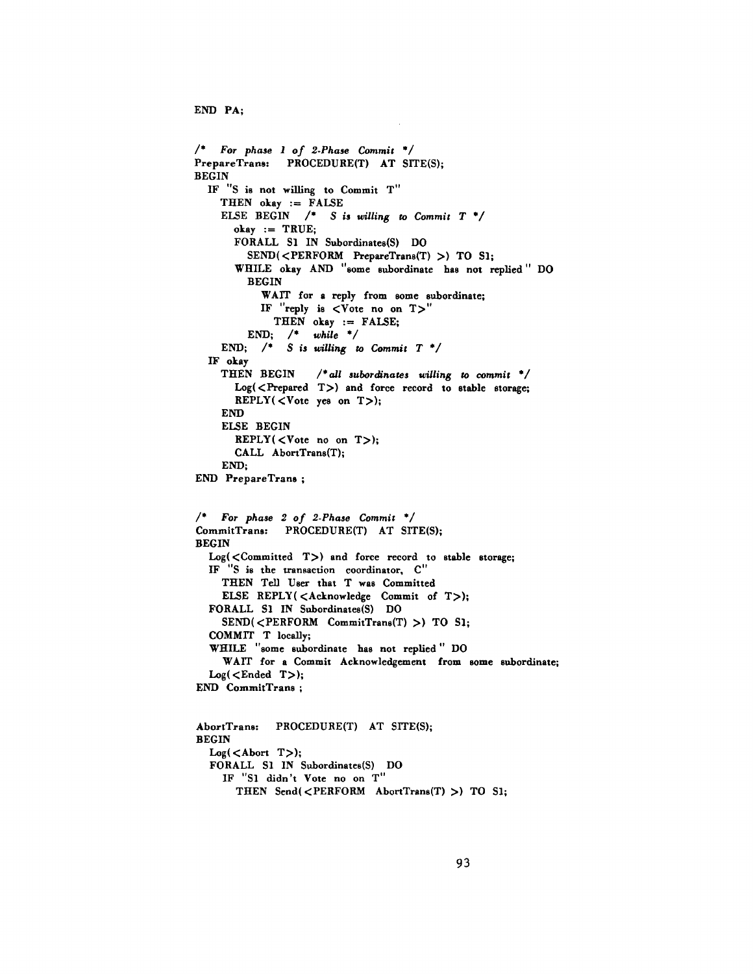END PA;

```
/* For phase I of 2-Phase Commit */ 
PrepareTrans: PROCEDURE(T) AT SITE(S); 
BEGIN
  IF "S is not willlng to Commit T" 
    THEN okay := FALSE
    ELSE BEGIN /* S is willing to Commit T */
      okay := TRUE;FORALL S] IN Subordinates(S) DO 
         SEND(<PERFORM PrepareTrans(T) >) TO S1;
      WHILE okay AND "some subordinate has not replied " DO 
         BEGIN 
           WAIT for a reply from some subordinate; 
           IF "reply is <Vote no on T>" 
             THEN okay := FALSE;
         END; /* while *1 
    END; /* S is willing to Commit T */ 
  IF okay 
    THEN BEGIN /*all subordinates willing to commit */
      Log(<Prepared T>) and force record to stable storage;
      REPLY(<sub>Yote</sub> yes on T>);
    END 
    ELSE BEGIN 
      REPLY(<i>Note no on T</i>);
      CALL AbortTrans(T); 
    END; 
END PrepareTrans ; 
/* For phase 2 of 2-Phase Commit */ 
CommitTrans: PROCEDURE(T) AT SITE(S); 
BEGIN 
  Log( < Committed T>) and force record to stable storage;
  IF "S is the transaction coordinator, C" 
    THEN Tell User that T was Committed 
    ELSE REPLY(<Acknowledgc Commit of T>); 
  FORALL SI IN Subordinates(S) DO 
    SEND( <PERFORM CommitTrans(T) >) TO SI; 
  COMMIT T locally; 
  WHILE "some subordinate has not replied " DO 
    WAIT for a Commit Acknowledgement from some subordinate; 
  Log(<Ended T>);
END CommitTrans ;
AbortTrans: PROCEDURE(T) AT SITE(S); 
BEGIN 
  Log(<script>Abort T>);FORALL S1 IN Subordinates(S) DO 
    IF *'S] didn't Vote no on T"
```

```
THEN Send(<PERFORM AbortTrans(T) >) TO S1;
```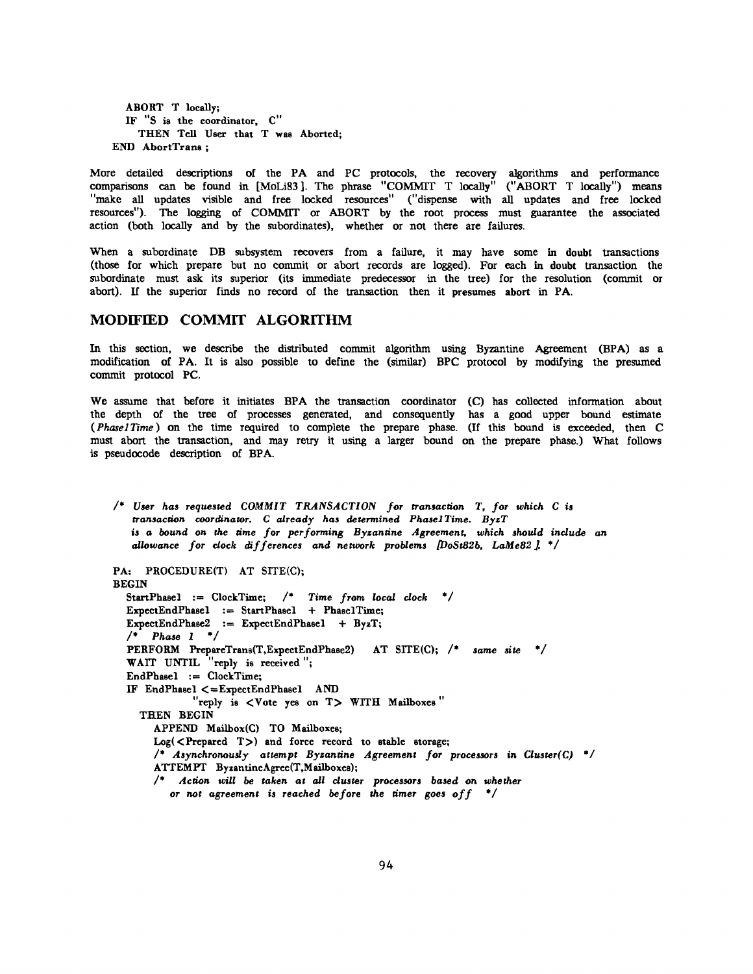ABORT T locally; IF "S is the coordinator, C" THEN Tell User that T was Aborted; END AbortTrans ;

More detailed descriptions of the PA and PC protocols, the recovery algorithms and performance comparisons can be found in [MoLi83]. The phrase "COMMIT T locally" ("ABORT T locally") means "make all updates visible and free locked resources" ("dispense with all updates and free locked resources"). The logging of COMMIT or ABORT by the root process must guarantee the associated action (both locally and by the subordinates), whether or not there are failures.

When a subordinate DB subsystem recovers from a failure, it may have some in doubt transactions (those for which prepare but no commit or abort records are logged). For each in doubt transaction the subordinate must ask its superior (its immediate predecessor in the tree) for the resolution (commit or abort). If the superior finds no record of the transaction then it presumes abort in PA.

# **MODIFIED COMMIT ALGORITHM**

In this section, we describe the distributed commit algorithm using Byzantine Agreement (BPA) as a modification of PA. It is also possible to define the (similar) BPC protocol by modifying the presumed commit protocol PC.

We assume that before it initiates BPA the transaction coordinator (C) has collected information about the depth of the tree of processes generated, and consequently has a good upper bound estimate *(PhaselTime)* on the time required to complete the prepare phase. (If this bound is exceeded, then C must abort the transaction, and may retry it using a larger bound on the prepare phase.) What follows is pseudocode description of BPA.

*/\* User has requested COMMIT TRANSACTION for transaction T, for which C is transaction coordinator. C already has determined PhaselTime. ByzT is a bound on the time* for *performing Byzantine Agreement, which should include an allowance for dock differences and network problems [DoSt82b, LaMe82]. \*/*  PA: PROCEDURE(T) AT SITE(C); BEGIN StartPhasel := ClockTime; /\* *Time* from *local clock \*/*  ExpectEndPhasel := StartPhasel + PhaselTime;  $ExpectedPhase2 := ExpectedPhase1 + ByzT;$ */\* Phase 1 \*/*  PERFORM PrepareTrans(T,ExpectEndPhase2) AT SITE(C); /\* *same site \*/*  WAIT UNTIL "reply is received";  $EndPhase1 := ClockTime;$ IF  $EndPhase1 \leq=ExpectedPhase1$  AND "reply is <Vote yes on T> WITH Mailboxes" THEN BEGIN APPEND Mailbox(C) TO Mailboxes;  $Log(*Prepared* T>)$  and force record to stable storage; */\* Asynchronously attempt Byzantine Agreement for processors in Cluster(C) \*/*  ATTEMPT ByzantineAgree(T,Mailboxes); */\* Action will be taken at all cluster processors based* on *whether or not agreement is reached before the timer goes off \*/*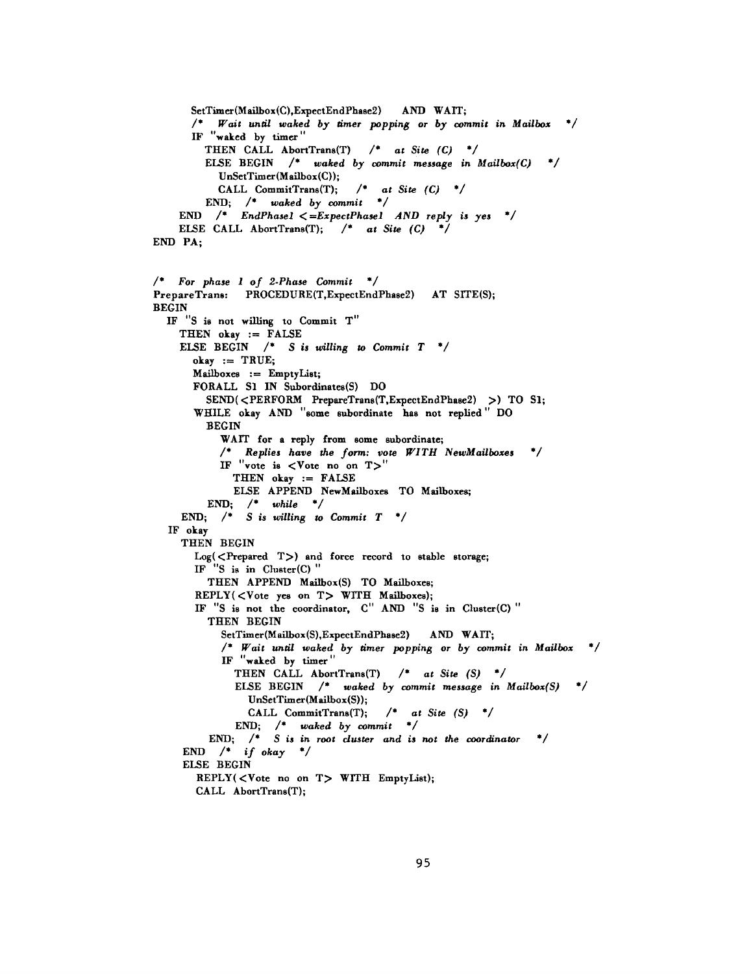SetTimer(Mailbox(C),ExpectEndPhase2) AND WAIT; */\* Wait until waked by timer popping or by commit in Mailbox*  \*/ IF "waked by timer" THEN CALL AbortTrans(T) /\* *at Site (C) \*/*  ELSE BEGIN */\* waked by commit message in Mailbox(C) \*/*  UnSetTimer(Mailbox(C)); CALL CommitTrans(T); /\* *at Site (C) \*/*  END; */\* waked by commit \*/*  END /\* EndPhasel  $\leq$ =ExpectPhasel AND reply is yes \*/ ELSE CALL AbortTrans(T); */\* at Site (C) \*/*  END PA; */\* For phase I of 2-Phase Commit \*/*  PrepareTrans: PROCEDURE(T,ExpectEndPhase2) AT SITE(S); BEGIN IF "S is not willing to Commit T" THEN  $okay := FALSE$ ELSE BEGIN */\* S is willing to Commit T \*/*  okay  $:=$  TRUE;  $Mailboxes := EmptyList;$ FORALL S] IN Subordinates(S) DO SEND( <PERFORM PrepareTrans(T,ExpeetEndPhase2) >) TO \$1; WHILE okay AND "some subordinate has not replied " DO BEGIN WAIT for a reply from some subordinate; */\* Replies have the form. vote WITH NewMailboxes \*/*  IF "vote is <Vote no on T>" THEN okay  $:=$  FALSE ELSE APPEND NewMailboxes TO Mailboxes; END; /\* *while \*/*  END; */\* S is willing to Commit T \*/*  IF okay THEN BEGIN  $Log(*Prepared* T)$  and force record to stable storage; IF "S is in Cluster(C)" THEN APPEND Mailbox(S) TO Mailboxes; REPLY( <Vote yes on T> WITH Mailboxes); IF "S is not the coordinator, C" AND "S is in Cluster(C)" THEN BEGIN SetThner (Mailbox(S),ExpectEndPhase2) AND WAIT; */\* Wait until waked by timer popping or by commit in Mailbox \*/*  IF "waked by timer" THEN CALL AbortTrans(T) */\* at Site (S) \*/*  ELSE BEGIN */\* waked by commit message in Mailbox(S)*  \*/ UnSetTimer(Mailbox(S)); CALL CommitTrans(T); /\* *at Site (S) \*/*  END; /\* *waked by commit \*/*  END; */\* S is in root duster and is not the coordinator \*/ END /\* if okay \*/*  ELSE BEGIN REPLY( <Vote no on T> WITH EmptyList); CALL AbortTrans(T);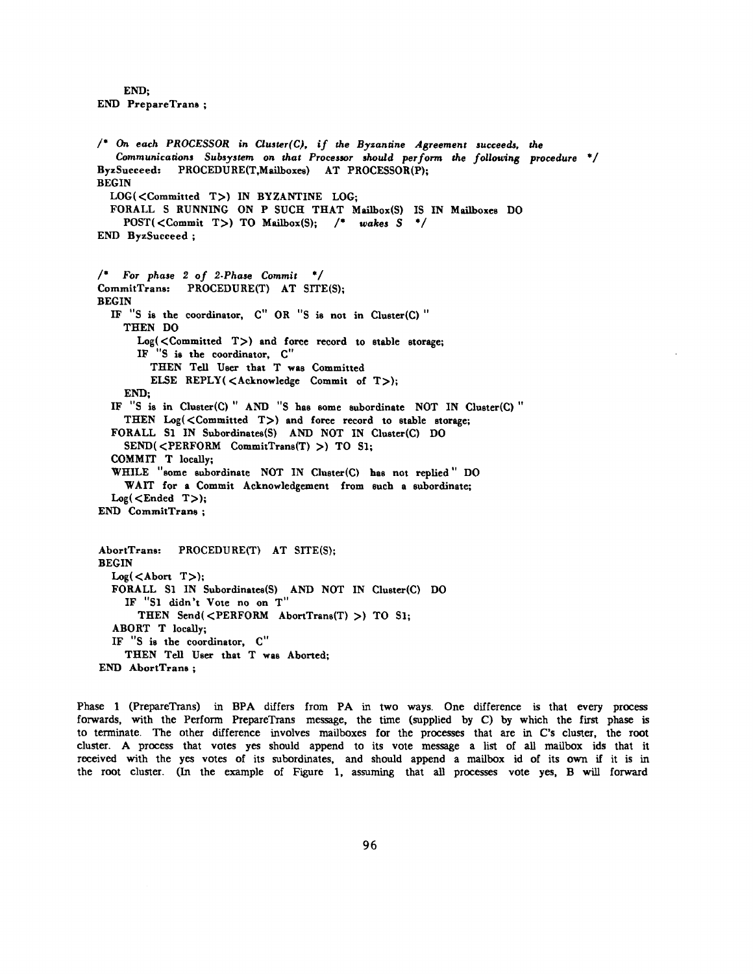END; END PrepareTrans ;

*/\* On each PROCESSOR in Cluster(C), if the Byzantine Agreement* succeeds, the *Communications Subsystem on that Processor should perform the following procedure \*/*  ByzSucceed: PROCEDURE(T,Mailboxes) AT PROCESSOR(P); BEGIN LOG( <Committed T>) IN BYZANTINE LOG; FORALL S RUNNING ON P SUCH THAT Mailbox(S) IS IN Mailboxes DO  $POST(*Commit* T>) TO Mailbox(S);$  /\* wakes S \*/ END ByzSuceeed ; */\* For phase 2 of 2-Phase Commit \*/*  CommitTrans: PROCEDURE(T) AT SITE(S); BEGIN IF "S is the coordinator,  $C''$  OR "S is not in Cluster(C)" THEN DO Log( < Committed T>) and force record to stable storage; IF "S is the coordinator, C" THEN Tell User that T was Committed ELSE REPLY(<Acknowiedge Commit of T>); END; IF "S is in Cluster(C)" AND "S has some subordinate NOT IN Cluster(C)" THEN Log(<Committed T>) and force record to stable storage; FORALL S1 IN Subordinates(S) AND NOT IN Cluster(C) DO SEND(<PERFORM CommitTrans(T) >) TO \$1; COMMIT T locally; WHILE "some subordinate NOT IN Cluster(C) has not replied" DO WAIT for a Commit Acknowledgement from such a subordinate;  $Log(<$ Ended T>); END CommitTrans; AbortTrans: PROCEDURE(T) AT SITE(S); BEGIN  $Log(*Abort* T>)$ ; FORALL SI IN Subordinates(S) AND NOT IN Cluster(C) DO

IF "\$1 didn't Vote no on T" THEN Send( <PERFORM AbortTrans(T) >) TO S1; ABORT T locally; IF "S is the coordinator, C" THEN Tell User that T was Aborted; END AbortTrans ;

Phase 1 (PrepareTrans) in BPA differs from PA in two ways. One difference is that every process forwards, with the Perform PrepareTrans message, the time (supplied by C) by which the first phase is to terminate. The other difference involves mailboxes for the processes that are in C's cluster, the root cluster. A process that votes yes should append to its vote message a list of all mailbox ids that it received with the yes votes of its subordinates, and should append a mailbox id of its own if it is in the root cluster. (In the example of Figure 1, assuming that all processes vote yes, B will forward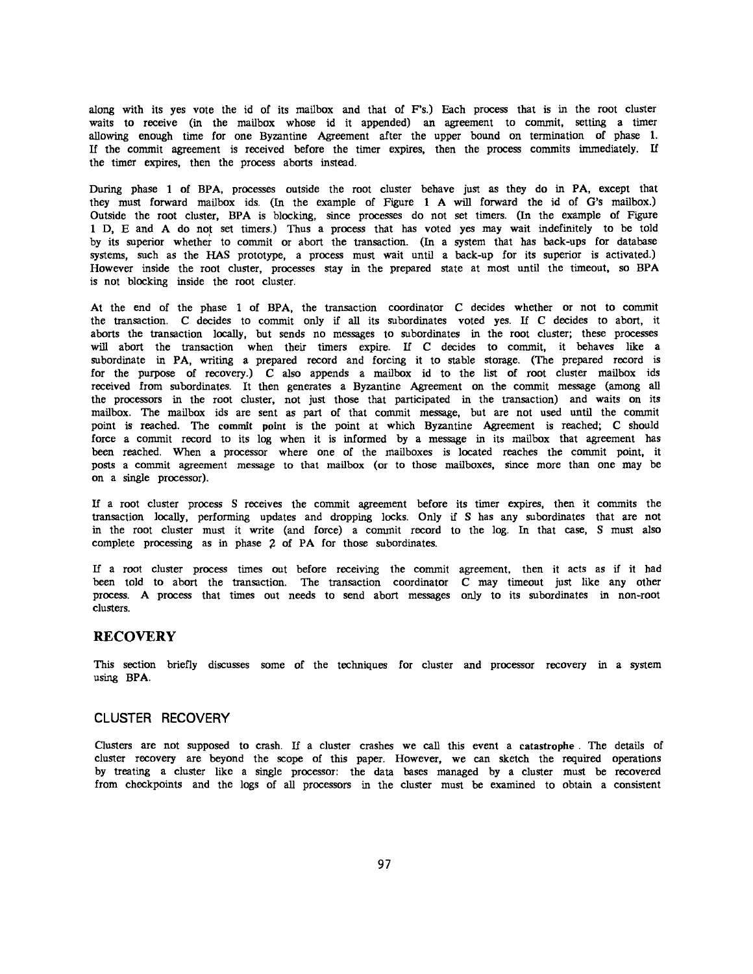along with its yes vote the id of its mailbox and that of F's.) Each process that is in the root cluster waits to receive (in the mailbox whose id it appended) an agreement to commit, setting a timer allowing enough time for one Byzantine Agreement after the upper bound on termination of phase 1. If the commit agreement is received before the timer expires, then the process commits immediately. If the timer expires, then the process aborts instead.

During phase 1 of BPA, processes outside the root cluster behave just as they do in PA, except that they must forward mailbox ids. (In the example of Figure 1 A will forward the id of G's mailbox.) Outside the root cluster, BPA is blocking, since processes do not set timers. (In the example of Figure 1 D, E and A do not set timers.) Thus a process that has voted yes may wait indefinitely to be told by its superior whether to commit or abort the transaction. (In a system that has back-ups for database systems, such as the HAS prototype, a process must wait until a back-up for its superior is activated.) However inside the root cluster, processes stay in the prepared state at most until the timeout, so BPA is not blocking inside the root cluster.

At the end of the phase 1 of BPA, the transaction coordinator C decides whether or not to commit the transaction. C decides to commit only if all its subordinates voted yes. If C decides to abort, it aborts the transaction locally, but sends no messages to subordinates in the root cluster; these processes will abort the transaction when their timers expire. If C decides to commit, it behaves like a subordinate in PA, writing a prepared record and forcing it to stable storage. (The prepared record is for the purpose of recovery.) C also appends a mailbox id to the list of root cluster mailbox ids received from subordinates. It then generates a Byzantine Agreement on the commit message (among all the processors in the root cluster, not just those that participated in the transaction) and waits on its mailbox. The mailbox ids are sent as part of that commit message, but are not used until the commit point is reached. The commit point is the point at which Byzantine Agreement is reached; C should force a commit record to its log when it is informed by a message in its mailbox that agreement has been reached. When a processor where one of the mailboxes is located reaches the commit point, it posts a commit agreement message to that mailbox (or to those mailboxes, since more than one may be on a single processor).

If a root cluster process S receives the commit agreement before its timer expires, then it commits the transaction locally, performing updates and dropping locks. Only if S has any subordinates that are not in the root cluster must it write (and force) a commit record to the log. In that case, S must also complete processing as in phase 2 of PA for those subordinates.

If a root cluster process times out before receiving the commit agreement, then it acts as if it had been told to abort the transaction. The transaction coordinator C may timeout just like any other process. A process that times out needs to send abort messages only to its subordinates in non-root clusters.

## **RECOVERY**

This section briefly discusses some of the techniques for cluster and processor recovery in a system using BPA.

### CLUSTER RECOVERY

Ousters are not supposed to crash. If a cluster crashes we call this event a catastrophe. The details of cluster recovery are beyond the scope of this paper. However, we can sketch the required operations by treating a cluster like a single processor: the data bases managed by a cluster must be recovered from checkpoints and the logs of all processors in the cluster must be examined to obtain a consistent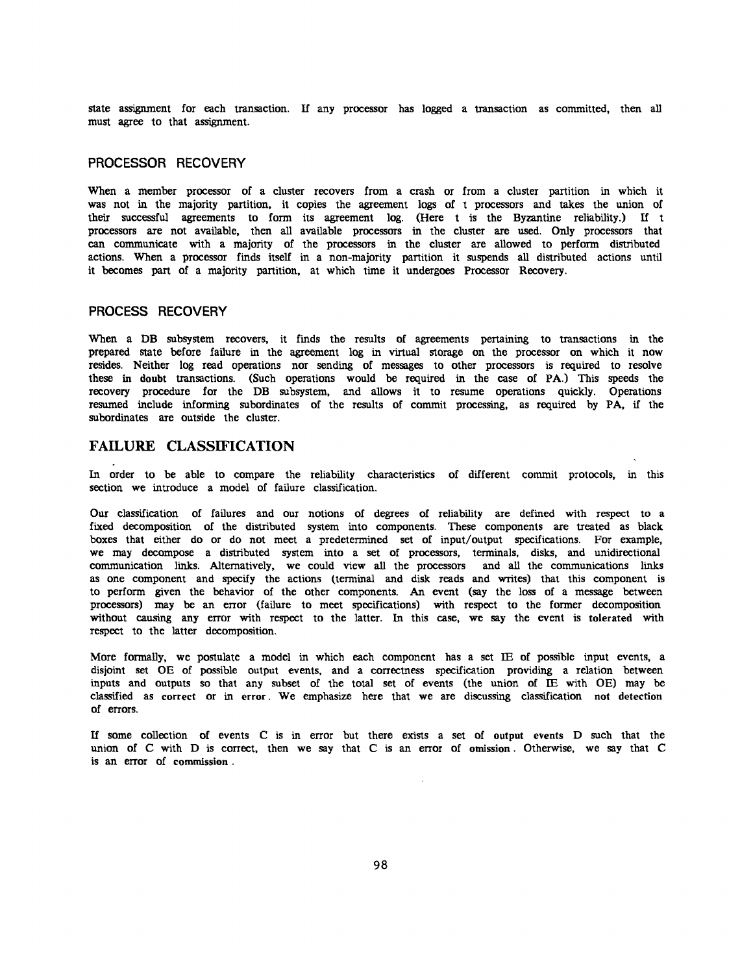state assignment for each transaction. If any processor has logged a transaction as committed, then all must agree to that assignment.

## PROCESSOR RECOVERY

When a member processor of a cluster recovers from a crash or from a cluster partition in which it was not in the majority partition, it copies the agreement logs of t processors and takes the union of their successful agreements to form its agreement log. (Here t is the Byzantine reliability.) If t processors are not available, then all available processors in the cluster are used. Only processors that can communicate with a majority of the processors in the cluster are allowed to perform distributed actions. When a processor finds itself in a non-majority partition it suspends all distributed actions until it becomes part of a majority partition, at which time it undergoes Processor Recovery.

## PROCESS RECOVERY

When a DB subsystem recovers, it finds the results of agreements pertaining to transactions in the prepared state before failure in the agreement log in virtual storage on the processor on which it now resides. Neither log read operations nor sending of messages to other processors is required to resolve these in doubt transactions. (Such operations would be required in the ease of PA.) This speeds the recovery procedure for the DB subsystem, and allows it to resume operations quickly. Operations resumed include informing subordinates of the remits of commit processing, as required by PA, if the subordinates are outside the cluster.

# FAILURE CLASSIFICATION

In order to be able to compare the reliability characteristics of different commit protocols, in this section we introduce a model of failure classification.

Our classification of failures and our notions of degrees of reliability are defined with respect to a fixed decomposition of the distributed system into components. These components are treated as black boxes that either do or do not meet a predetermined set of input/output specifications. For example, we may decompose a distributed system into a set of processors, terminals, disks, and unidirectional communication links. Alternatively, we could view all the processors and all the communications links as one component and specify the actions (terminal and disk reads and writes) that this component is to perform given the behavior of the other components. An event (say the loss of a message between processors) may be an error (failure to meet specifications) with respect to the former decomposition without causing any error with respect to the latter. In this case, we say the event is tolerated with respect to the latter decomposition.

More formally, we postulate a model in which each component has a set IE of possible input events, a disjoint set OE of possible output events, and a correctness specification providing a relation between inputs and outputs so that any subset of the total set of events (the union of IE with OE) may be classified as correct or in error. We emphasize here that we arc discussing classification not detection of errors.

If some collection of events C is in error but there exists a set of output events D such that the union of C with D is correct, then we say that C is an error of omission. Otherwise, we say that C is an error of commission.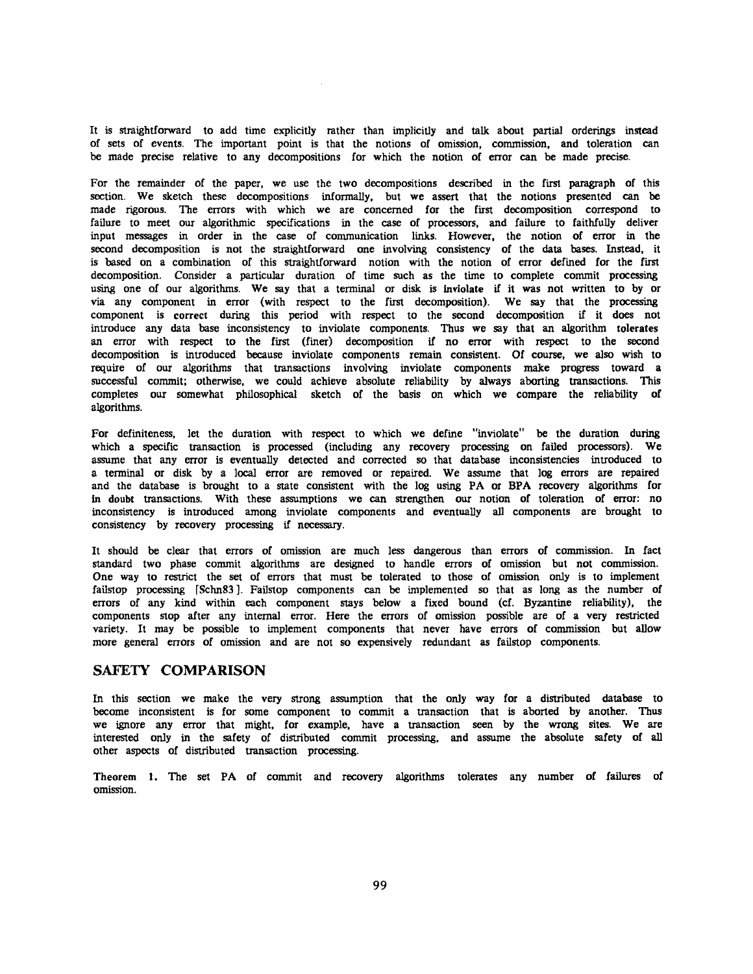It is straightforward to add time explicitly rather than implicitly and talk about partial orderings instead of sets of events. The important point is that the notions of omission, commission, and toleration can be made precise relative to any decompositions for which the notion of error can be made precise.

For the remainder of the paper, we use the two decompositions described in the first paragraph of this section. We sketch these decompositions informally, but we assert that the notions presented can be made rigorous. The errors with which we are concerned for the first decomposition correspond to failure to meet our algorithmic specifications in the case of processors, and failure to faithfully deliver input messages in order in the case of communication links. However, the notion of error in the second decomposition is not the straightforward one involving consistency of the data bases. Instead, it is based on a combination of this straightforward notion with the notion of error defined for the first decomposition. Consider a particular duration of time such as the time to complete commit processing using one of our algorithms. We say that a terminal or disk is inviolate if it was not written to by or via any component in error (with respect to the first decomposition). We say that the processing component is correct during this period with respect to the second decomposition if it does not introduce any data base inconsistency to inviolate components. Thus we say that an algorithm **tolerates**  an error with respect to the first (finer) decomposition if no error with respect to the second decomposition is introduced because inviolate components remain consistent. Of course, we also wish to require of our algorithms that transactions involving inviolate components make progress toward a successful commit; otherwise, we could achieve absolute reliability by always aborting transactions. This completes our somewhat philosophical sketch of the basis on which we compare the reliability of algorithms.

For definiteness, let the duration with respect to which we define "inviolate" be the duration during which a specific transaction is processed (including any recovery processing on failed processors). We assume that any error is eventually detected and corrected so that database inconsistencies introduced to a terminal or disk by a local error are removed or repaired. We assume that log errors are repaired and the database is brought to a state consistent with the log using PA or BPA recovery algorithms for in doubt transactions. With these assumptions we can strengthen our notion of toleration of error: no inconsistency is introduced among inviolate components and eventually all components are brought to consistency by recovery processing if necessary.

It should be clear that errors of omission are much less dangerous than errors of commission. In fact standard two phase commit algorithms are designed to handle errors of omission but not commission. One way to restrict the set of errors that must be tolerated to those of omission only is to implement failstop processing [Schn83 ]. Failstop components can be implemented so that as long as the number of errors of any kind within each component stays below a fixed bound (cf. Byzantine reliability), the components stop after any internal error. Here the errors of omission possible are of a very restricted variety. It may be possible to implement components that never have errors of commission but allow more general errors of omission and are not so expensively redundant as failstop components.

## SAFETY COMPARISON

In this section we make the very strong assumption that the only way for a distributed database to become inconsistent is for some component to commit a transaction that is aborted by another. Thus we ignore any error that might, for example, have a transaction seen by the wrong sites. We **are**  interested only in the safety of distributed commit processing, and assume the absolute safety of all other aspects of distributed transaction processing.

Theorem 1. The set PA of commit and recovery algorithms tolerates any number of failures of omission.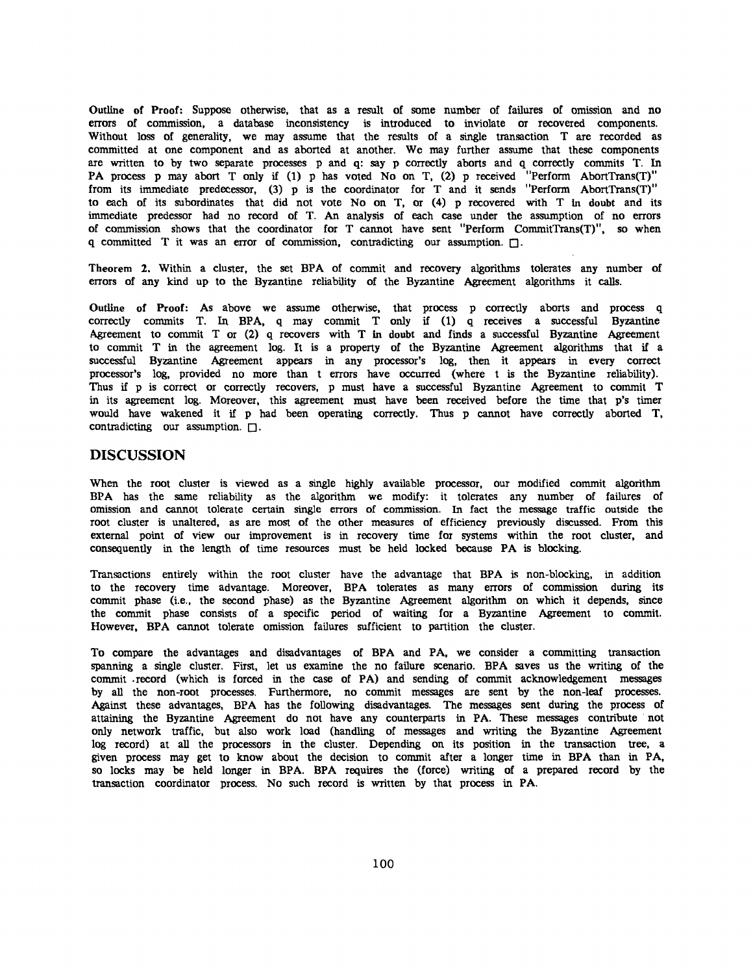Outline **of Proof:** Suppose otherwise, that as a result of some number of failures of omission and no errors of commission, a database inconsistency is introduced to inviolate or recovered components. Without loss of generality, we may assume that the results of a single transaction T are recorded as committed at one component and as aborted at another. We may further assume that these components are written to by two separate processes p and q: say p correctly aborts and q correctly commits T. In PA process p may abort T only if (1) p has voted No on T, (2) p received "Perform AbortTrans(T)" from its immediate predecessor, (3) p is the coordinator for T and it sends "Perform AbortTrans(T)" to each of its subordinates that did not vote No on T, or (4) p recovered with T in doubt and its immediate predessor had no record of T. An analysis of each case under the assumption of no errors of commission shows that the coordinator for T cannot have sent "Perform CommitTrans(T)", so when q committed  $T$  it was an error of commission, contradicting our assumption.  $\Box$ .

**Theorem** 2. Within a cluster, the set BPA of commit and recovery algorithms tolerates any number of errors of any kind up to the Byzantine reliability of the Byzantine Agreement algorithms it calls.

Outline **of Proof:** As above we assume otherwise, that process p correctly aborts and process q correctly commits T. In BPA, q may commit T only if (1) q receives a successful Byzantine Agreement to commit T or (2) q recovers with T in doubt and finds a successful Byzantine Agreement to commit T in the agreement log. It is a property of the Byzantine Agreement algorithms that if a successful Byzantine Agreement appears in any processor's log, then it appears in every correct processor's log, provided no more than t errors have occurred (where t is the Byzantine reliability). Thus if p is correct or correctly recovers, p must have a successful Byzantine Agreement to commit T in its agreement log. Moreover, this agreement must have been received before the time that p's timer would have wakened it if p had been operating correctly. Thus p cannot have correctly aborted T, contradicting our assumption.  $\Box$ .

### **DISCUSSION**

When the root cluster is viewed as a single highly available processor, our modified commit algorithm BPA has the same rcliability as the algorithm we modify: it tolerates any number of failures of omission and cannot tolerate certain single errors of commission. In fact the message traffic outside the root cluster is unaltered, as arc most of the other measures of efficiency previously discussed. From this external point of view our improvement is in recovery time for systems within the root cluster, and consequently in the length of time resources must be held locked because PA is blocking.

Transactions entireiy within the root cluster have the advantage that BPA is non-blocking, in addition to the recovery time advantage. Moreover, BPA tolerates as many errors of commission during its commit phase (i.e., the second phase) as the Byzantinc Agreement algorithm on which it depends, since the commit phase consists of a specific period of waiting for a Byzantine Agreement to commit. However, BPA cannot tolerate omission failures sufficient to partition the cluster.

To compare the advantages and disadvantages of BPA and PA, we consider a committing transaction spanning a single cluster. First, let us examine the no failure scenario. BPA saves us the writing of the commit .record (which is forced in the case of PA) and sending of commit acknowledgement messages by all the non-root processes. Furthermore, no commit messages are sent by the non-leaf processes. Against these advantages, BPA has the following disadvantages. The messages sent during the process of attaining the Byzantine Agreement do not have any counterparts in PA. These messages contribute not only network traffic, but also work load (handling of messages and writing the Byzantine Agreement log record) at all the processors in the cluster. Depending on its position in the transaction tree, a given process may get to know about the decision to commit after a longer time in BPA than in PA, so locks may be held longer in BPA. BPA requires the (force) writing of a prepared record by the transaction coordinator process. No such record is written by that process in PA.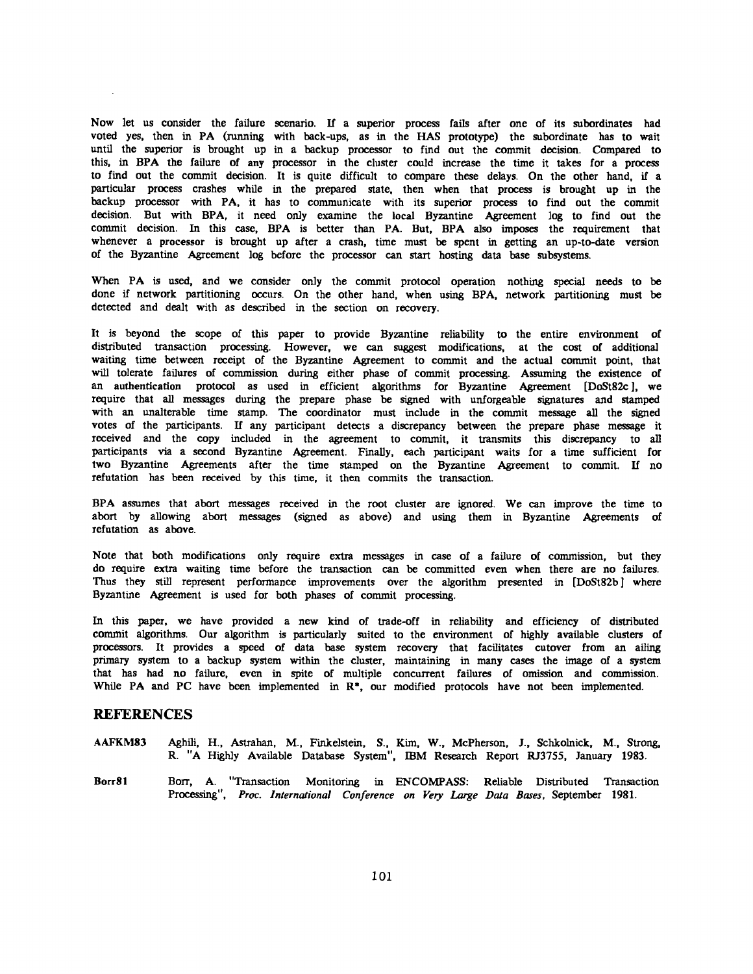Now let us consider the failure scenario. If a superior process fails after one of its subordinates had voted yes, then in PA (running with back-ups, as in the HAS prototype) the subordinate has to wait until the superior is brought up in a backup processor to find out the commit decision. Compared to this, in BPA the failure of any processor in the cluster could increase the time it takes for a process to find out the commit decision. It is quite difficult to compare these delays. On the other hand, if a particular process crashes while in the prepared state, then when that process is brought up in the backup processor with PA, it has to communicate with its superior process to find out the commit decision. But with BPA, it need only examine the local Byzantine Agreement log to find out the commit decision. In this case, BPA is better than PA. But, BPA also imposes the requirement that whenever a processor is brought up after a crash, time must be spent in getting an up-to-date version of the Byzantine Agreement log before the processor can start hosting data base subsystems.

When PA is used, and we consider only the commit protocol operation nothing special needs to be done if network partitioning occurs. On the other hand, when using BPA, network partitioning must be detected and dealt with as described in the section on recovery.

It is beyond the scope of this paper to provide Byzantine reliability to the entire environment of distributed transaction processing. However, we can suggest modifications, at the cost of additional waiting time between receipt of the Byzantine Agreement to commit and the actual commit point, that will tolerate failures of commission during either phase of commit processing. Assuming the existence of an authentication protocol as used in efficient algorithms for Byzantine Agreement [DoSt82c], we require that all messages during the prepare phase be signed with unforgeable signatures and stamped with an unalterable time stamp. The coordinator must include in the commit message all the signed votes of the participants. If any participant detects a discrepancy between the prepare phase message it received and the copy included in the agreement to commit, it transmits this discrepancy to all participants via a second Byzantine Agreement. Finally, each participant waits for a time sufficient for two Byzantine Agreements after the time stamped on the Byzantine Agreement to commit. If no refutation has been received by this time, it then commits the transaction.

BPA assumes that abort messages received in the root cluster are ignored. We can improve the time to abort by allowing abort messages (signed as above) and using them in Byzantine Agreements of refutation as above.

Note that both modifications only require extra messages in case of a failure of commission, but they do require extra waiting time before the transaction can be committed even when there are no failures. Thus they still represent performance improvements over the algorithm presented in [DoSt82b] where Byzantine Agreement is used for both phases of commit processing.

In this paper, we have provided a new kind of trade-off in reliability and efficiency of distributed commit algorithms. Our algorithm is particularly suited to the environment of highly available clusters of processors. It provides a speed of data base system recovery that facilitates cutover from an ailing primary system to a backup system within the cluster, maintaining in many cases the image of a system that has had no failure, even in spite of multiple concurrent failures of omission and commission. While PA and PC have been implemented in R<sup>\*</sup>, our modified protocols have not been implemented.

#### REFERENCES

- **AAFKM83**  Aghili, H., Astrahan, M., Finkelstein, S., Kim, W., McPherson, J., Schkoinick, M., Strong, R. "A Highly Available Database System", IBM Research Report RJ3755, January 1983.
- **BorrSl**  Bert, A. "Transaction Monitoring in ENCOMPASS: Reliable Distributed Transaction Processing", *Prec. International Conference on Very Large Data Bases,* September 1981.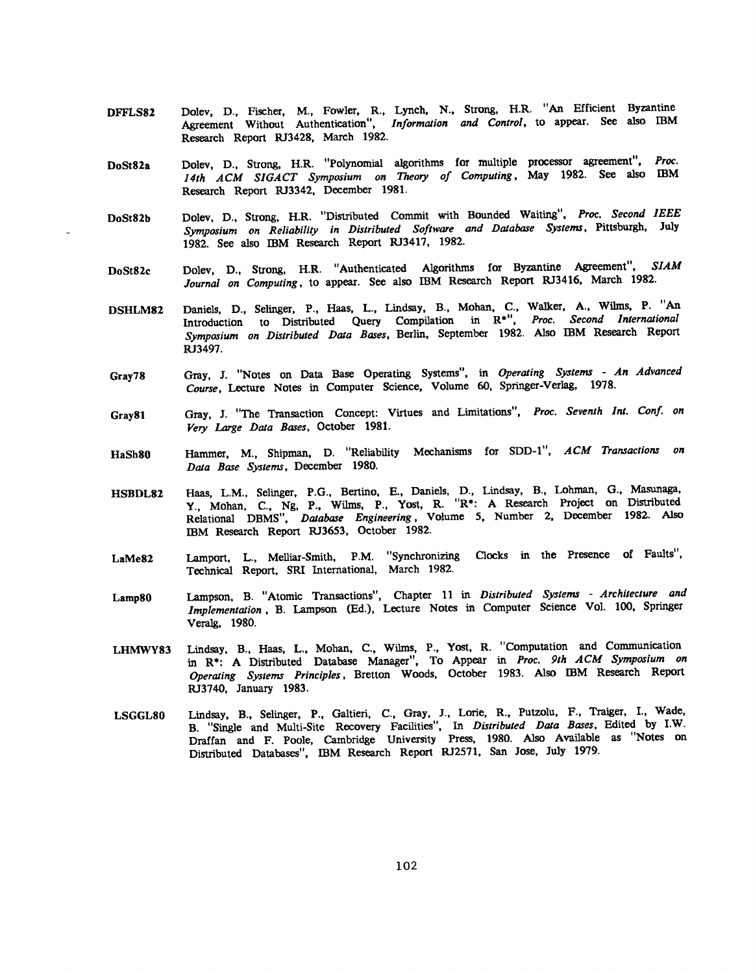- DFFLS82 Dolev, D., Fischer, M., Fowler, R., Lynch, N., Strong, H.R. "An Efficient Byzantine Agreement Without Authentication", *Information and Control,* to appear. See also IBM Research Report K13428, March 1982.
- **DoSt82a**  Dolev, D., Strong, H.R. "Polynomial algorithms for multiple processor agreement", *Proc. 14th ACM SIGACT Symposium on Theory of Computing,* May 1982. See also IBM Research Report RJ3342, December 1981.
- **DoSt82b**  Dolev, D., Strong, H.R. "Distributed Commit with Bounded Waiting", *Proc. Second IEEE Symposium on Reliability in Distributed Software and Database Systems,* Pittsburgh, July 1982. See also IBM Research Report RJ3417, 1982.
- **DoSt82c**  Dolev, D., Strong, H.R. "Authenticated Algorithms for Byzantine Agreement", *SIAM Journal on Computing,* to appear. See also IBM Research Report K13416, March 1982.
- **DSHLM82**  Daniels, D., Selinger, P., Haas, L., Lindsay, B., Mohan, C., Walker, A., Wilms, P. "An Introduction to Distributed Query Compilation in R\*", *Proc. Second International Symposium on Distributed Data Bases,* Berlin, September 1982. Also IBM Research Report RJ3497.
- **Gray78**  Gray, J. "Notes on Data Base Operating Systems", in *Operating Systems - An Advanced Course,* Lecture Notes in Computer Science, Volume 60, Springer-Verlag, 1978.
- **Gray81**  Gray, J. "The Transaction Concept: Virtues and Limitations", *Proc. Seventh Int. Conf. on Very Large Data Bases,* October 1981.
- **HaSh80**  Hammer, M., Shipman, D. "Reliability Mechanisms for SDD-I", *ACM Transactions on Data Base Systems,* December 1980.
- **HSBDL82**  Haas, L.M., Selinger, P.G., Bertino, E., Daniels, D., Lindsay, B., Lohman, G., Mammaga, Y., Mohan, C., Ng, P., Wilms, P., Yost, R. "R\*: A Research Project on Distributed Relational DBMS", *Database Engineering,* Volume 5, Number 2, December 1982. Also IBM Reseaxch Report RJ3653, October 1982.
- **LaMe82**  Lamport, L., Melliar-Smith, P.M. "Synchronizing Clocks in the Presence of Faults", Technical Report, SRI International, March 1982.
- **Lamp80**  Lampson, B. "Atomic Transactions", Chapter 11 in *Distributed Systems - Architecture and Implementation,* B. Lampson (Ed.), Lecture Notes in Computer Science Vol. 100, Springer Veralg, 1980.
- LHMWY83 Lindsay, B., Haas, L., Mohan, C., Wilms, P., Yost, R. "Computation and Communication in R\*: A Distributed Database Manager", To Appear *in Proc. 9th ACM Symposium on Operating Systems Principles,* Bretton Woods, October 1983. Also IBM Research Report R.13740, January 1983.
- LSGGL80 Lindsay, B., Selinger, P., Galtieri, C., Gray, J., Lorie, R., Putzolu, F., Traiger, I., Wade, B. "Single and Multi-Site Recovery Facilities", *In Distributed Data Bases,* Edited by LW. Draffan and F. Poole, Cambridge University Press, 1980. Also Available as "Notes on Distributed Databases", IBM Research Report KI2571, San Jose, July 1979.